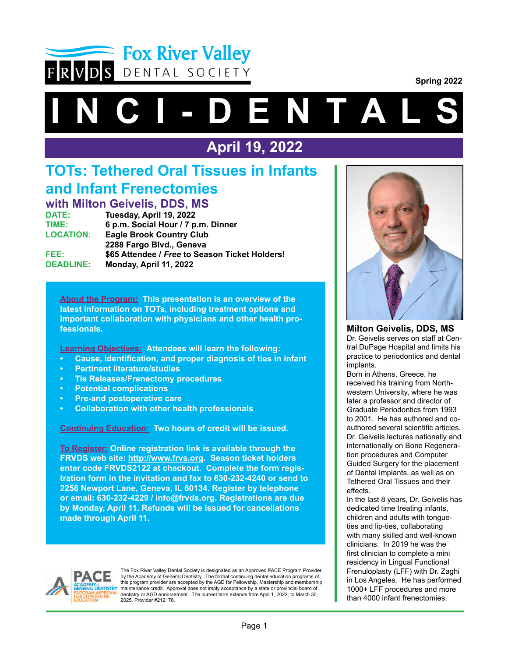

**Spring 2022**

# **I C I - D E N T A L**

# **April 19, 2022**

# **TOTs: Tethered Oral Tissues in Infants and Infant Frenectomies**

**with Milton Geivelis, DDS, MS Tuesday, April 19, 2022 TIME: 6 p.m. Social Hour / 7 p.m. Dinner LOCATION: Eagle Brook Country Club 2288 Fargo Blvd., Geneva FEE: \$65 Attendee /** *Free* **to Season Ticket Holders! DEADLINE: Monday, April 11, 2022**

**About the Program: This presentation is an overview of the latest information on TOTs, including treatment options and important collaboration with physicians and other health professionals.**

**Learning Objectives: Attendees will learn the following:**

- **• Cause, identification, and proper diagnosis of ties in infant**
- **Pertinent literature/studies**
- **Tie Releases/Frenectomy procedures**
- **Potential complications**
- **Pre-and postoperative care**
- **Collaboration with other health professionals**

**Continuing Education: Two hours of credit will be issued.**

**To Register: Online registration link is available through the FRVDS web site: http://www.frvs.org. Season ticket holders enter code FRVDS2122 at checkout. Complete the form registration form in the invitation and fax to 630-232-4240 or send to 2258 Newport Lane, Geneva, IL 60134. Register by telephone or email: 630-232-4229 / info@frvds.org. Registrations are due by Monday, April 11. Refunds will be issued for cancellations made through April 11.** 



The Fox River Valley Dental Society is designated as an Approved PACE Program Provider<br>by the Academy of General Dentistry. The formal continuing dental education programs of this program provider are accepted by the AGD for Fellowship, Mastership and membership maintenance credit. Approval does not imply acceptance by a state or provincial board of dentistry or AGD endorsement. The current term extends from April 1, 2022, to March 30, 2025. Provider #212178.



**Milton Geivelis, DDS, MS** Dr. Geivelis serves on staff at Central DuPage Hospital and limits his practice to periodontics and dental implants.

Born in Athens, Greece, he received his training from Northwestern University, where he was later a professor and director of Graduate Periodontics from 1993 to 2001. He has authored and coauthored several scientific articles. Dr. Geivelis lectures nationally and internationally on Bone Regeneration procedures and Computer Guided Surgery for the placement of Dental Implants, as well as on Tethered Oral Tissues and their effects.

In the last 8 years, Dr. Geivelis has dedicated time treating infants, children and adults with tongueties and lip-ties, collaborating with many skilled and well-known clinicians. In 2019 he was the first clinician to complete a mini residency in Lingual Functional Frenuloplasty (LFF) with Dr. Zaghi in Los Angeles. He has performed 1000+ LFF procedures and more than 4000 infant frenectomies.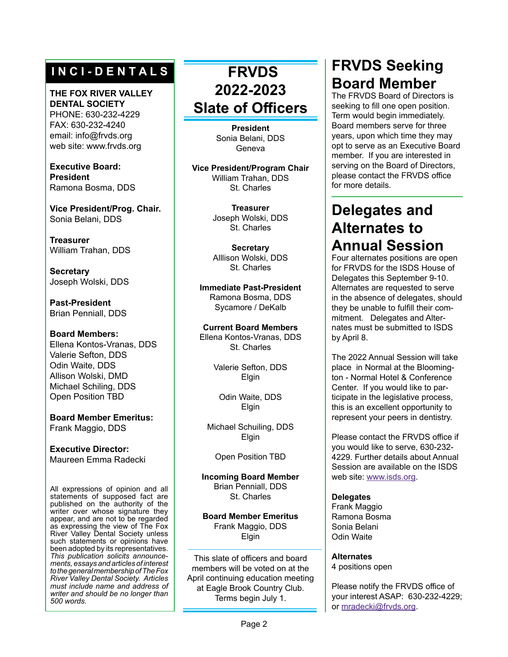## **I N C I - D E N T A L S**

#### **THE FOX RIVER VALLEY DENTAL SOCIETY** PHONE: 630-232-4229

FAX: 630-232-4240 email: info@frvds.org web site: www.frvds.org

**Executive Board: President** Ramona Bosma, DDS

**Vice President/Prog. Chair.** Sonia Belani, DDS

**Treasurer** William Trahan, DDS

**Secretary** Joseph Wolski, DDS

**Past-President** Brian Penniall, DDS

#### **Board Members:** Ellena Kontos-Vranas, DDS Valerie Sefton, DDS Odin Waite, DDS Allison Wolski, DMD Michael Schiling, DDS Open Position TBD

**Board Member Emeritus:** Frank Maggio, DDS

**Executive Director:** Maureen Emma Radecki

All expressions of opinion and all statements of supposed fact are published on the authority of the writer over whose signature they appear, and are not to be regarded as expressing the view of The Fox River Valley Dental Society unless such statements or opinions have been adopted by its representatives. *This publication solicits announcements, essays and articles of interest to the general membership of The Fox River Valley Dental Society. Articles must include name and address of writer and should be no longer than 500 words.*

# **FRVDS 2022-2023 Slate of Officers**

**President** Sonia Belani, DDS Geneva

**Vice President/Program Chair** William Trahan, DDS St. Charles

> **Treasurer** Joseph Wolski, DDS St. Charles

> **Secretary** Alllison Wolski, DDS St. Charles

**Immediate Past-President** Ramona Bosma, DDS Sycamore / DeKalb

**Current Board Members** Ellena Kontos-Vranas, DDS St. Charles

> Valerie Sefton, DDS Elgin

Odin Waite, DDS Elgin

Michael Schuiling, DDS Elgin

Open Position TBD

**Incoming Board Member** Brian Penniall, DDS St. Charles

**Board Member Emeritus** Frank Maggio, DDS Elgin

This slate of officers and board members will be voted on at the April continuing education meeting at Eagle Brook Country Club. Terms begin July 1.

# **FRVDS Seeking Board Member**

The FRVDS Board of Directors is seeking to fill one open position. Term would begin immediately. Board members serve for three years, upon which time they may opt to serve as an Executive Board member. If you are interested in serving on the Board of Directors, please contact the FRVDS office for more details.

# **Delegates and Alternates to Annual Session**

Four alternates positions are open for FRVDS for the ISDS House of Delegates this September 9-10. Alternates are requested to serve in the absence of delegates, should they be unable to fulfill their commitment. Delegates and Alternates must be submitted to ISDS by April 8.

The 2022 Annual Session will take place in Normal at the Bloomington - Normal Hotel & Conference Center. If you would like to participate in the legislative process, this is an excellent opportunity to represent your peers in dentistry.

Please contact the FRVDS office if you would like to serve, 630-232- 4229. Further details about Annual Session are available on the ISDS web site: [www.isds.org](https://www.isds.org/eventseducation/annual-session).

#### **Delegates**

Frank Maggio Ramona Bosma Sonia Belani Odin Waite

#### **Alternates**

4 positions open

Please notify the FRVDS office of your interest ASAP: 630-232-4229; or [mradecki@frvds.org](mailto:mradecki%40frvds.org?subject=Willing%20to%20Serve%20as%20an%20Alternate%20).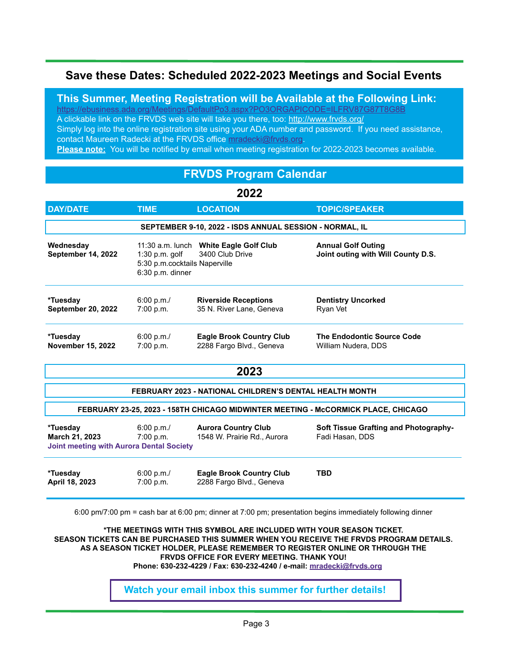#### **Save these Dates: Scheduled 2022-2023 Meetings and Social Events**

**This Summer, Meeting Registration will be Available at the Following Link:** <https://ebusiness.ada.org/Meetings/DefaultPo3.aspx?PO3ORGAPICODE=ILFRV87G87T8G8B>

A clickable link on the FRVDS web site will take you there, too: [http://www.frvds.org/](http://www.frvds.org)

Simply log into the online registration site using your ADA number and password. If you need assistance, contact Maureen Radecki at the FRVDS office [mradecki@frvds.org](mailto:mradecki%40frvds.org?subject=Willing%20to%20Serve%20as%20an%20Alternate%20).

**Please note:** You will be notified by email when meeting registration for 2022-2023 becomes available.

#### **FRVDS Program Calendar**

#### **2022**

| <b>DAY/DATE</b>                                         | <b>TIME</b>                                                                                                                                                                                         | <b>LOCATION</b>                                             | <b>TOPIC/SPEAKER</b>                                     |  |  |  |
|---------------------------------------------------------|-----------------------------------------------------------------------------------------------------------------------------------------------------------------------------------------------------|-------------------------------------------------------------|----------------------------------------------------------|--|--|--|
| SEPTEMBER 9-10, 2022 - ISDS ANNUAL SESSION - NORMAL, IL |                                                                                                                                                                                                     |                                                             |                                                          |  |  |  |
| Wednesday<br>September 14, 2022                         | 11:30 a.m. lunch White Eagle Golf Club<br><b>Annual Golf Outing</b><br>Joint outing with Will County D.S.<br>3400 Club Drive<br>1:30 p.m. golf<br>5:30 p.m.cocktails Naperville<br>6:30 p.m. dinner |                                                             |                                                          |  |  |  |
| *Tuesday<br><b>September 20, 2022</b>                   | 6:00 p.m./<br>7:00 p.m.                                                                                                                                                                             | <b>Riverside Receptions</b><br>35 N. River Lane, Geneva     | <b>Dentistry Uncorked</b><br>Ryan Vet                    |  |  |  |
| *Tuesday<br><b>November 15, 2022</b>                    | 6:00 p.m./<br>7:00 p.m.                                                                                                                                                                             | <b>Eagle Brook Country Club</b><br>2288 Fargo Blvd., Geneva | <b>The Endodontic Source Code</b><br>William Nudera, DDS |  |  |  |
|                                                         |                                                                                                                                                                                                     |                                                             |                                                          |  |  |  |

| 2023                                                                              |                         |                                                             |                                                                 |  |  |  |
|-----------------------------------------------------------------------------------|-------------------------|-------------------------------------------------------------|-----------------------------------------------------------------|--|--|--|
| FEBRUARY 2023 - NATIONAL CHILDREN'S DENTAL HEALTH MONTH                           |                         |                                                             |                                                                 |  |  |  |
| FEBRUARY 23-25, 2023 - 158TH CHICAGO MIDWINTER MEETING - McCORMICK PLACE, CHICAGO |                         |                                                             |                                                                 |  |  |  |
| *Tuesday<br><b>March 21, 2023</b><br>Joint meeting with Aurora Dental Society     | 6:00 p.m./<br>7:00 p.m. | <b>Aurora Country Club</b><br>1548 W. Prairie Rd., Aurora   | <b>Soft Tissue Grafting and Photography-</b><br>Fadi Hasan, DDS |  |  |  |
| *Tuesday<br>April 18, 2023                                                        | 6:00 p.m./<br>7:00 p.m. | <b>Eagle Brook Country Club</b><br>2288 Fargo Blvd., Geneva | TBD                                                             |  |  |  |

6:00 pm/7:00 pm = cash bar at 6:00 pm; dinner at 7:00 pm; presentation begins immediately following dinner

**\*THE MEETINGS WITH THIS SYMBOL ARE INCLUDED WITH YOUR SEASON TICKET. SEASON TICKETS CAN BE PURCHASED THIS SUMMER WHEN YOU RECEIVE THE FRVDS PROGRAM DETAILS. AS A SEASON TICKET HOLDER, PLEASE REMEMBER TO REGISTER ONLINE OR THROUGH THE FRVDS OFFICE FOR EVERY MEETING. THANK YOU!**

 **Phone: 630-232-4229 / Fax: 630-232-4240 / e-mail: [mradecki@frvds.org](mailto:mradecki%40frvds.org?subject=Meeting%20Registration)**

#### **Watch your email inbox this summer for further details!**